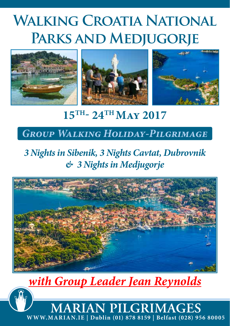# **Walking Croatia National Parks and Medjugorje**



# **15TH- 24TH May 2017**

### *Group Walking Holiday-Pilgrimage*

## *3 Nights in Sibenik, 3 Nights Cavtat, Dubrovnik & 3 Nights in Medjugorje*



# *with Group Leader Jean Reynolds*

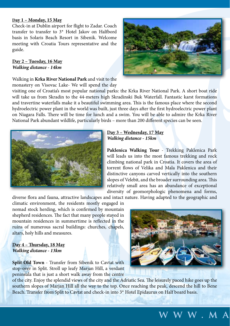#### **Day 1 – Monday, 15 May**

Check-in at Dublin airport for flight to Zadar. Coach transfer to transfer to 3\* Hotel Jakov on Halfbord basis in Solaris Beach Resort in Sibenik. Welcome meeting with Croatia Tours representative and the guide.

#### **Day 2 – Tuesday, 16 May** *Walking distance - 14km*

Walking in **Krka River National Park** and visit to the monastery on Visovac Lake- We will spend the day

visiting one of Croatia's most popular national parks: the Krka River National Park. A short boat ride will take us from Skradin to the 44-meters high Skradinski Buk Waterfall. Fantastic karst formations and travertine waterfalls make it a beautiful swimming area. This is the famous place where the second hydroelectric power plant in the world was built, just three days after the first hydroelectric power plant on Niagara Falls. There will be time for lunch and a swim. You will be able to admire the Krka River National Park abundant wildlife, particularly birds – more than 200 different species can be seen.



**Paklenica Walking Tour** - Trekking Paklenica Park will leads us into the most famous trekking and rock climbing national park in Croatia. It covers the area of torrent flows of Velika and Mala Paklenica and their distinctive canyons carved vertically into the southern slopes of Velebit, and the broader surrounding area. This relatively small area has an abundance of exceptional diversity of geomorphologic phenomena and forms,

diverse flora and fauna, attractive landscapes and intact nature. Having adapted to the geographic and

climatic environment, the residents mostly engaged in nomad stock herding, which is confirmed by mountain shepherd residences. The fact that many people stayed in mountain residences in summertime is reflected in the ruins of numerous sacral buildings: churches, chapels, altars, holy hills and measures.

#### **Day 4 – Thursday, 18 May** *Walking distance - 13km*

**Split Old Town** - Transfer from Sibenik to Cavtat with stop-over in Split. Stroll up leafy Marjan Hill, a verdant peninsula that is just a short walk away from the centre

of the city. Enjoy the splendid views of the city and the Adriatic Sea. The leisurely paced hike goes up the southern slopes of Marjan Hill all the way to the top. Once reaching the peak, descend the hill to Bene Beach. Transfer from Split to Cavtat and check-in into 3\* Hotel Epidaurus on Half board basis.







### **www.ma**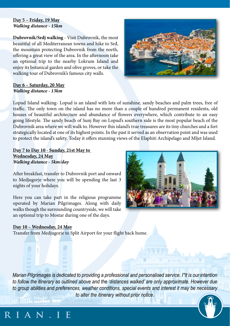#### **Day 5 – Friday, 19 May** *Walking distance - 15km*

**Dubrovnik/Srdj walking** - Visit Dubrovnik, the most beautiful of all Mediterranean towns and hike to Srđ, the mountain protecting Dubrovnik from the north, offering a great view of the area. In the afternoon take an optional trip to the nearby Lokrum Island and enjoy its botanical garden and olive groves, or take the walking tour of Dubrovnik's famous city walls.



#### **Day 6 – Saturday, 20 May** *Walking distance - 13km*

Lopud Island walking- Lopud is an island with lots of sunshine, sandy beaches and palm trees, free of traffic. The only town on the island has no more than a couple of hundred permanent residents, old houses of beautiful architecture and abundance of flowers everywhere, which contribute to an easy going lifestyle. The sandy beach of Sunj Bay on Lopud's southern side is the most popular beach of the Dubrovnik area where we will walk to. However this island's true treasures are its tiny churches and a fort strategically located at one of its highest points. In the past it served as an observation point and was used to protect the island's safety. Today it offers stunning views of the Elaphiti Archipelago and Mljet Island.

**Day 7 to Day 10 - Sunday, 21st May to Wednesday, 24 May** *Walking distance - 5km/day* 

After breakfast, transfer to Dubrovnik port and onward to Medjugorje where you will be spending the last 3 nights of your holidays.

Here you can take part in the religious programme operated by Marian Pilgrimages. Along with daily walks though the surrounding countryside, we will take an optional trip to Mostar during one of the days.



#### **Day 10 – Wednesday, 24 May**

**WIAN** IF

Transfer from Medjugorje to Split Airport for your flight back home.

*Marian Pilgrimages is dedicated to providing a professional and personalised service. I\*It is our intention to follow the itinerary as outlined above and the 'distances walked' are only approximate. However due to group abilities and preferences, weather conditions, special events and interest it may be necessary to alter the itinerary without prior notice.*